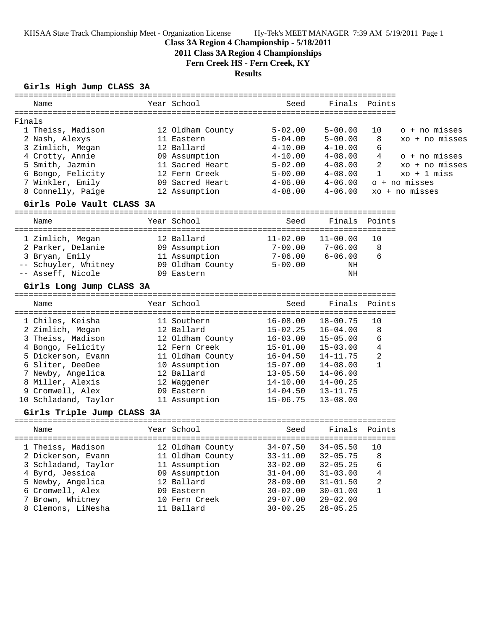KHSAA State Track Championship Meet - Organization License Hy-Tek's MEET MANAGER 7:39 AM 5/19/2011 Page 1

## **Class 3A Region 4 Championship - 5/18/2011**

**2011 Class 3A Region 4 Championships**

**Fern Creek HS - Fern Creek, KY**

## **Results**

## **Girls High Jump CLASS 3A**

|                            | Seed                                                                                                                                                                                                                                                                                                                                                                                                                                                                                                        | Finals                                                                                                                                                                                                                                                                        |                                                                                                                                                                                                                                              |                                                                                                                                                          |
|----------------------------|-------------------------------------------------------------------------------------------------------------------------------------------------------------------------------------------------------------------------------------------------------------------------------------------------------------------------------------------------------------------------------------------------------------------------------------------------------------------------------------------------------------|-------------------------------------------------------------------------------------------------------------------------------------------------------------------------------------------------------------------------------------------------------------------------------|----------------------------------------------------------------------------------------------------------------------------------------------------------------------------------------------------------------------------------------------|----------------------------------------------------------------------------------------------------------------------------------------------------------|
|                            |                                                                                                                                                                                                                                                                                                                                                                                                                                                                                                             |                                                                                                                                                                                                                                                                               |                                                                                                                                                                                                                                              |                                                                                                                                                          |
|                            |                                                                                                                                                                                                                                                                                                                                                                                                                                                                                                             |                                                                                                                                                                                                                                                                               |                                                                                                                                                                                                                                              | o + no misses                                                                                                                                            |
|                            | $5 - 04.00$                                                                                                                                                                                                                                                                                                                                                                                                                                                                                                 |                                                                                                                                                                                                                                                                               | 8                                                                                                                                                                                                                                            | $xo + no$ misses                                                                                                                                         |
|                            | $4 - 10.00$                                                                                                                                                                                                                                                                                                                                                                                                                                                                                                 | $4 - 10.00$                                                                                                                                                                                                                                                                   | 6                                                                                                                                                                                                                                            |                                                                                                                                                          |
|                            | 4-10.00                                                                                                                                                                                                                                                                                                                                                                                                                                                                                                     | $4 - 08.00$                                                                                                                                                                                                                                                                   | 4                                                                                                                                                                                                                                            | o + no misses                                                                                                                                            |
|                            | $5 - 02.00$                                                                                                                                                                                                                                                                                                                                                                                                                                                                                                 | $4 - 08.00$                                                                                                                                                                                                                                                                   | 2                                                                                                                                                                                                                                            | xo + no misses                                                                                                                                           |
|                            | $5 - 00.00$                                                                                                                                                                                                                                                                                                                                                                                                                                                                                                 | $4 - 08.00$                                                                                                                                                                                                                                                                   | 1                                                                                                                                                                                                                                            | $xo + 1 miss$                                                                                                                                            |
|                            | $4 - 06.00$                                                                                                                                                                                                                                                                                                                                                                                                                                                                                                 | $4 - 06.00$                                                                                                                                                                                                                                                                   |                                                                                                                                                                                                                                              | o + no misses                                                                                                                                            |
|                            |                                                                                                                                                                                                                                                                                                                                                                                                                                                                                                             | $4 - 06.00$                                                                                                                                                                                                                                                                   |                                                                                                                                                                                                                                              | xo + no misses                                                                                                                                           |
| Girls Pole Vault CLASS 3A  |                                                                                                                                                                                                                                                                                                                                                                                                                                                                                                             |                                                                                                                                                                                                                                                                               |                                                                                                                                                                                                                                              |                                                                                                                                                          |
|                            | Seed                                                                                                                                                                                                                                                                                                                                                                                                                                                                                                        |                                                                                                                                                                                                                                                                               |                                                                                                                                                                                                                                              |                                                                                                                                                          |
|                            |                                                                                                                                                                                                                                                                                                                                                                                                                                                                                                             |                                                                                                                                                                                                                                                                               |                                                                                                                                                                                                                                              |                                                                                                                                                          |
|                            |                                                                                                                                                                                                                                                                                                                                                                                                                                                                                                             |                                                                                                                                                                                                                                                                               |                                                                                                                                                                                                                                              |                                                                                                                                                          |
|                            |                                                                                                                                                                                                                                                                                                                                                                                                                                                                                                             |                                                                                                                                                                                                                                                                               |                                                                                                                                                                                                                                              |                                                                                                                                                          |
|                            |                                                                                                                                                                                                                                                                                                                                                                                                                                                                                                             |                                                                                                                                                                                                                                                                               |                                                                                                                                                                                                                                              |                                                                                                                                                          |
|                            |                                                                                                                                                                                                                                                                                                                                                                                                                                                                                                             | ΝH                                                                                                                                                                                                                                                                            |                                                                                                                                                                                                                                              |                                                                                                                                                          |
|                            |                                                                                                                                                                                                                                                                                                                                                                                                                                                                                                             |                                                                                                                                                                                                                                                                               |                                                                                                                                                                                                                                              |                                                                                                                                                          |
|                            |                                                                                                                                                                                                                                                                                                                                                                                                                                                                                                             |                                                                                                                                                                                                                                                                               |                                                                                                                                                                                                                                              |                                                                                                                                                          |
|                            |                                                                                                                                                                                                                                                                                                                                                                                                                                                                                                             |                                                                                                                                                                                                                                                                               |                                                                                                                                                                                                                                              |                                                                                                                                                          |
|                            |                                                                                                                                                                                                                                                                                                                                                                                                                                                                                                             |                                                                                                                                                                                                                                                                               |                                                                                                                                                                                                                                              |                                                                                                                                                          |
|                            |                                                                                                                                                                                                                                                                                                                                                                                                                                                                                                             | $16 - 04.00$                                                                                                                                                                                                                                                                  | 8                                                                                                                                                                                                                                            |                                                                                                                                                          |
|                            | $16 - 03.00$                                                                                                                                                                                                                                                                                                                                                                                                                                                                                                | $15 - 05.00$                                                                                                                                                                                                                                                                  | 6                                                                                                                                                                                                                                            |                                                                                                                                                          |
|                            | 15-01.00                                                                                                                                                                                                                                                                                                                                                                                                                                                                                                    | $15 - 03.00$                                                                                                                                                                                                                                                                  | 4                                                                                                                                                                                                                                            |                                                                                                                                                          |
|                            | 16-04.50                                                                                                                                                                                                                                                                                                                                                                                                                                                                                                    | 14-11.75                                                                                                                                                                                                                                                                      | 2                                                                                                                                                                                                                                            |                                                                                                                                                          |
|                            | 15-07.00                                                                                                                                                                                                                                                                                                                                                                                                                                                                                                    | $14 - 08.00$                                                                                                                                                                                                                                                                  | 1                                                                                                                                                                                                                                            |                                                                                                                                                          |
|                            | $13 - 05.50$                                                                                                                                                                                                                                                                                                                                                                                                                                                                                                | $14 - 06.00$                                                                                                                                                                                                                                                                  |                                                                                                                                                                                                                                              |                                                                                                                                                          |
|                            | $14 - 10.00$                                                                                                                                                                                                                                                                                                                                                                                                                                                                                                | $14 - 00.25$                                                                                                                                                                                                                                                                  |                                                                                                                                                                                                                                              |                                                                                                                                                          |
|                            |                                                                                                                                                                                                                                                                                                                                                                                                                                                                                                             |                                                                                                                                                                                                                                                                               |                                                                                                                                                                                                                                              |                                                                                                                                                          |
|                            |                                                                                                                                                                                                                                                                                                                                                                                                                                                                                                             |                                                                                                                                                                                                                                                                               |                                                                                                                                                                                                                                              |                                                                                                                                                          |
| Girls Triple Jump CLASS 3A |                                                                                                                                                                                                                                                                                                                                                                                                                                                                                                             |                                                                                                                                                                                                                                                                               |                                                                                                                                                                                                                                              |                                                                                                                                                          |
|                            | Seed                                                                                                                                                                                                                                                                                                                                                                                                                                                                                                        |                                                                                                                                                                                                                                                                               |                                                                                                                                                                                                                                              |                                                                                                                                                          |
|                            |                                                                                                                                                                                                                                                                                                                                                                                                                                                                                                             |                                                                                                                                                                                                                                                                               |                                                                                                                                                                                                                                              |                                                                                                                                                          |
|                            |                                                                                                                                                                                                                                                                                                                                                                                                                                                                                                             |                                                                                                                                                                                                                                                                               |                                                                                                                                                                                                                                              |                                                                                                                                                          |
|                            |                                                                                                                                                                                                                                                                                                                                                                                                                                                                                                             |                                                                                                                                                                                                                                                                               |                                                                                                                                                                                                                                              |                                                                                                                                                          |
|                            |                                                                                                                                                                                                                                                                                                                                                                                                                                                                                                             |                                                                                                                                                                                                                                                                               | 4                                                                                                                                                                                                                                            |                                                                                                                                                          |
|                            |                                                                                                                                                                                                                                                                                                                                                                                                                                                                                                             |                                                                                                                                                                                                                                                                               |                                                                                                                                                                                                                                              |                                                                                                                                                          |
|                            | $30 - 02.00$                                                                                                                                                                                                                                                                                                                                                                                                                                                                                                |                                                                                                                                                                                                                                                                               | 1                                                                                                                                                                                                                                            |                                                                                                                                                          |
|                            | $29 - 07.00$                                                                                                                                                                                                                                                                                                                                                                                                                                                                                                | $29 - 02.00$                                                                                                                                                                                                                                                                  |                                                                                                                                                                                                                                              |                                                                                                                                                          |
|                            | $30 - 00.25$                                                                                                                                                                                                                                                                                                                                                                                                                                                                                                | $28 - 05.25$                                                                                                                                                                                                                                                                  |                                                                                                                                                                                                                                              |                                                                                                                                                          |
|                            | Year School<br>12 Oldham County<br>11 Eastern<br>12 Ballard<br>09 Assumption<br>11 Sacred Heart<br>12 Fern Creek<br>09 Sacred Heart<br>12 Assumption<br>Year School<br>12 Ballard<br>09 Assumption<br>11 Assumption<br>09 Eastern<br>Year School<br>11 Southern<br>12 Ballard<br>12 Fern Creek<br>10 Assumption<br>12 Ballard<br>12 Waggener<br>09 Eastern<br>11 Assumption<br>Year School<br>11 Oldham County<br>11 Assumption<br>09 Assumption<br>12 Ballard<br>09 Eastern<br>10 Fern Creek<br>11 Ballard | $5 - 02.00$<br>$4 - 08.00$<br>$11 - 02.00$<br>7-06.00<br>-- Schuyler, Whitney 09 Oldham County<br>$5 - 00.00$<br>Seed<br>$16 - 08.00$<br>12 Oldham County<br>11 Oldham County<br>$14 - 04.50$<br>$15 - 06.75$<br>$33 - 11.00$<br>$33 - 02.00$<br>$31 - 04.00$<br>$28 - 09.00$ | $5 - 00.00$<br>$5 - 00.00$<br>11-00.00<br>$7 - 00.00$ $7 - 06.00$<br>$6 - 06.00$<br>NH<br>Finals<br>$18 - 00.75$<br>15-02.25<br>$13 - 11.75$<br>$13 - 08.00$<br>$32 - 05.75$<br>$32 - 05.25$<br>$31 - 03.00$<br>$31 - 01.50$<br>$30 - 01.00$ | Points<br>10<br>Finals Points<br>10<br>8<br>6<br>Points<br>10<br>Finals Points<br>1 Theiss, Madison 12 Oldham County 34-07.50 34-05.50 10<br>8<br>6<br>2 |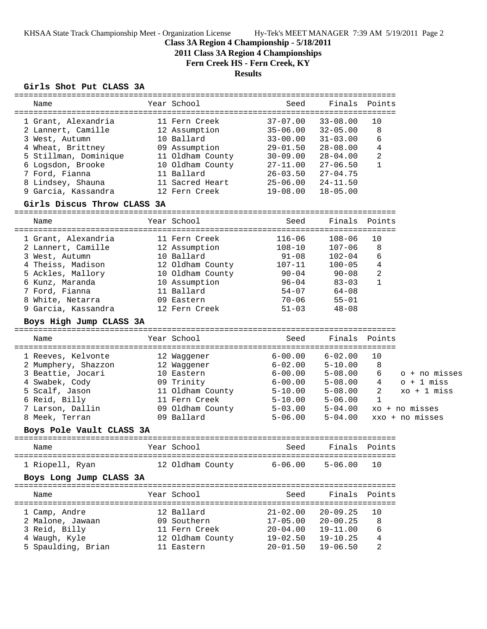KHSAA State Track Championship Meet - Organization License Hy-Tek's MEET MANAGER 7:39 AM 5/19/2011 Page 2

## **Class 3A Region 4 Championship - 5/18/2011**

**2011 Class 3A Region 4 Championships**

**Fern Creek HS - Fern Creek, KY**

# **Results**

### **Girls Shot Put CLASS 3A**

| Name                        | Year School              | Seed                      | Finals        | Points        |                       |
|-----------------------------|--------------------------|---------------------------|---------------|---------------|-----------------------|
|                             |                          |                           |               |               |                       |
| 1 Grant, Alexandria         | 11 Fern Creek            | $37 - 07.00$              | $33 - 08.00$  | 10            |                       |
| 2 Lannert, Camille          | 12 Assumption            | $35 - 06.00$              | $32 - 05.00$  | 8             |                       |
| 3 West, Autumn              | 10 Ballard               | $33 - 00.00$              | $31 - 03.00$  | 6             |                       |
| 4 Wheat, Brittney           | 09 Assumption            | $29 - 01.50$              | $28 - 08.00$  | 4             |                       |
| 5 Stillman, Dominique       | 11 Oldham County         | $30 - 09.00$              | $28 - 04.00$  | 2             |                       |
| 6 Logsdon, Brooke           | 10 Oldham County         | 27-11.00                  | $27 - 06.50$  | $\mathbf{1}$  |                       |
| 7 Ford, Fianna              | 11 Ballard               | $26 - 03.50$              | $27 - 04.75$  |               |                       |
| 8 Lindsey, Shauna           | 11 Sacred Heart          | 25-06.00                  | $24 - 11.50$  |               |                       |
| 9 Garcia, Kassandra         | 12 Fern Creek            | $19 - 08.00$              | $18 - 05.00$  |               |                       |
| Girls Discus Throw CLASS 3A |                          |                           |               |               |                       |
| Name                        | Year School              | Seed                      |               | Finals Points |                       |
| 1 Grant, Alexandria         | 11 Fern Creek            | $116 - 06$                | $108 - 06$    | 10            |                       |
| 2 Lannert, Camille          | 12 Assumption            | $108 - 10$                | $107 - 06$    | 8             |                       |
| 3 West, Autumn              | 10 Ballard               | $91 - 08$                 | $102 - 04$    | 6             |                       |
| 4 Theiss, Madison           | 12 Oldham County         | 107-11                    | $100 - 05$    | 4             |                       |
| 5 Ackles, Mallory           | 10 Oldham County         | 90-04                     | 90-08         | 2             |                       |
| 6 Kunz, Maranda             | 10 Assumption            | $96 - 04$                 | $83 - 03$     | $\mathbf{1}$  |                       |
| 7 Ford, Fianna              | 11 Ballard               | $54 - 07$                 | 64-08         |               |                       |
| 8 White, Netarra            | 09 Eastern               | 70-06                     | $55 - 01$     |               |                       |
| 9 Garcia, Kassandra         | 12 Fern Creek            | $51 - 03$                 | $48 - 08$     |               |                       |
| Boys High Jump CLASS 3A     |                          |                           |               |               |                       |
| Name                        | Year School              | Seed                      |               | Finals Points |                       |
|                             |                          |                           |               |               |                       |
| 1 Reeves, Kelvonte          | 12 Waggener              | $6 - 00.00$               | $6 - 02.00$   | 10            |                       |
| 2 Mumphery, Shazzon         | 12 Waqqener              | $6 - 02.00$               | $5 - 10.00$   | 8             |                       |
| 3 Beattie, Jocari           | 10 Eastern               | $6 - 00.00$               | $5 - 08.00$   | 6             | o + no misses         |
| 4 Swabek, Cody              | 09 Trinity               | $6 - 00.00$               | $5 - 08.00$   | 4             | $o + 1$ miss          |
| 5 Scalf, Jason              | 11 Oldham County         | $5 - 10.00$               | $5 - 08.00$   | 2             | $xo + 1 \text{ miss}$ |
| 6 Reid, Billy               | 11 Fern Creek            | $5 - 10.00$               | $5 - 06.00$   | 1             |                       |
| 7 Larson, Dallin            | 09 Oldham County 5-03.00 |                           | $5 - 04.00$   |               | xo + no misses        |
| 8 Meek, Terran              | 09 Ballard               | $5 - 06.00$               | $5 - 04.00$   |               | xxo + no misses       |
| Boys Pole Vault CLASS 3A    |                          |                           |               |               |                       |
| Name                        | Year School              | Seed                      |               | Finals Points |                       |
| 1 Riopell, Ryan             | 12 Oldham County 6-06.00 |                           | $5 - 06.00$   | 10            |                       |
| Boys Long Jump CLASS 3A     |                          |                           |               |               |                       |
| Name                        | Year School              | Seed                      | Finals Points |               |                       |
| 1 Camp, Andre               | 12 Ballard               | $21 - 02.00$ $20 - 09.25$ |               | 10            |                       |
|                             | 09 Southern              | 17-05.00 20-00.25         |               | 8             |                       |
| 2 Malone, Jawaan            | 11 Fern Creek            | $20 - 04.00$ $19 - 11.00$ |               | 6             |                       |
| 3 Reid, Billy               |                          | 19-02.50  19-10.25        |               |               |                       |
| 4 Waugh, Kyle               | 12 Oldham County         |                           |               | 4             |                       |
| 5 Spaulding, Brian          | 11 Eastern               | $20 - 01.50$              | $19 - 06.50$  | 2             |                       |